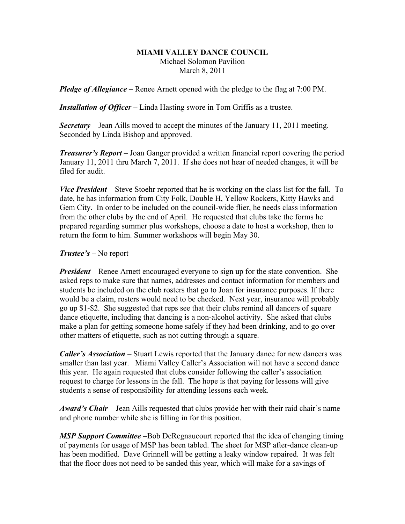## **MIAMI VALLEY DANCE COUNCIL** Michael Solomon Pavilion March 8, 2011

*Pledge of Allegiance –* Renee Arnett opened with the pledge to the flag at 7:00 PM.

*Installation of Officer* **–** Linda Hasting swore in Tom Griffis as a trustee.

*Secretary –* Jean Aills moved to accept the minutes of the January 11, 2011 meeting. Seconded by Linda Bishop and approved.

*Treasurer's Report* – Joan Ganger provided a written financial report covering the period January 11, 2011 thru March 7, 2011. If she does not hear of needed changes, it will be filed for audit.

*Vice President* – Steve Stoehr reported that he is working on the class list for the fall. To date, he has information from City Folk, Double H, Yellow Rockers, Kitty Hawks and Gem City. In order to be included on the council-wide flier, he needs class information from the other clubs by the end of April. He requested that clubs take the forms he prepared regarding summer plus workshops, choose a date to host a workshop, then to return the form to him. Summer workshops will begin May 30.

## *Trustee's* – No report

*President* – Renee Arnett encouraged everyone to sign up for the state convention. She asked reps to make sure that names, addresses and contact information for members and students be included on the club rosters that go to Joan for insurance purposes. If there would be a claim, rosters would need to be checked. Next year, insurance will probably go up \$1-\$2. She suggested that reps see that their clubs remind all dancers of square dance etiquette, including that dancing is a non-alcohol activity. She asked that clubs make a plan for getting someone home safely if they had been drinking, and to go over other matters of etiquette, such as not cutting through a square.

*Caller's Association* – Stuart Lewis reported that the January dance for new dancers was smaller than last year. Miami Valley Caller's Association will not have a second dance this year. He again requested that clubs consider following the caller's association request to charge for lessons in the fall. The hope is that paying for lessons will give students a sense of responsibility for attending lessons each week.

*Award's Chair* – Jean Aills requested that clubs provide her with their raid chair's name and phone number while she is filling in for this position.

*MSP Support Committee* –Bob DeRegnaucourt reported that the idea of changing timing of payments for usage of MSP has been tabled. The sheet for MSP after-dance clean-up has been modified. Dave Grinnell will be getting a leaky window repaired. It was felt that the floor does not need to be sanded this year, which will make for a savings of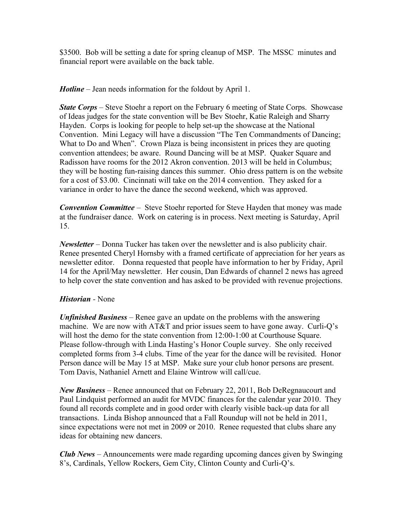\$3500. Bob will be setting a date for spring cleanup of MSP. The MSSC minutes and financial report were available on the back table.

*Hotline* – Jean needs information for the foldout by April 1.

*State Corps* – Steve Stoehr a report on the February 6 meeting of State Corps. Showcase of Ideas judges for the state convention will be Bev Stoehr, Katie Raleigh and Sharry Hayden. Corps is looking for people to help set-up the showcase at the National Convention. Mini Legacy will have a discussion "The Ten Commandments of Dancing; What to Do and When". Crown Plaza is being inconsistent in prices they are quoting convention attendees; be aware. Round Dancing will be at MSP. Quaker Square and Radisson have rooms for the 2012 Akron convention. 2013 will be held in Columbus; they will be hosting fun-raising dances this summer. Ohio dress pattern is on the website for a cost of \$3.00. Cincinnati will take on the 2014 convention. They asked for a variance in order to have the dance the second weekend, which was approved.

*Convention Committee* – Steve Stoehr reported for Steve Hayden that money was made at the fundraiser dance. Work on catering is in process. Next meeting is Saturday, April 15.

*Newsletter* – Donna Tucker has taken over the newsletter and is also publicity chair. Renee presented Cheryl Hornsby with a framed certificate of appreciation for her years as newsletter editor. Donna requested that people have information to her by Friday, April 14 for the April/May newsletter. Her cousin, Dan Edwards of channel 2 news has agreed to help cover the state convention and has asked to be provided with revenue projections.

## *Historian -* None

*Unfinished Business* – Renee gave an update on the problems with the answering machine. We are now with AT&T and prior issues seem to have gone away. Curli-Q's will host the demo for the state convention from 12:00-1:00 at Courthouse Square. Please follow-through with Linda Hasting's Honor Couple survey. She only received completed forms from 3-4 clubs. Time of the year for the dance will be revisited. Honor Person dance will be May 15 at MSP. Make sure your club honor persons are present. Tom Davis, Nathaniel Arnett and Elaine Wintrow will call/cue.

*New Business* – Renee announced that on February 22, 2011, Bob DeRegnaucourt and Paul Lindquist performed an audit for MVDC finances for the calendar year 2010. They found all records complete and in good order with clearly visible back-up data for all transactions. Linda Bishop announced that a Fall Roundup will not be held in 2011, since expectations were not met in 2009 or 2010. Renee requested that clubs share any ideas for obtaining new dancers.

*Club News –* Announcements were made regarding upcoming dances given by Swinging 8's, Cardinals, Yellow Rockers, Gem City, Clinton County and Curli-Q's.